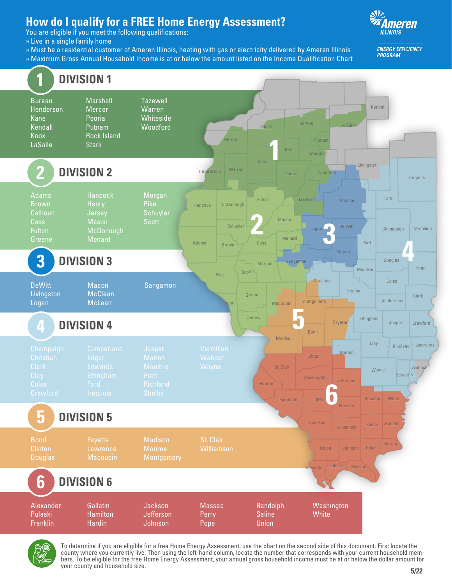## **How do I qualify for a FREE Home Energy Assessment?**

You are eligible if you meet the following qualifications:

- » Live in a single family home
- » Must be a residential customer of Ameren Illinois, heating with gas or electricity delivered by Ameren Illinois
- » Maximum Gross Annual Household Income is at or below the amount listed on the Income Qualification Chart



**ENERGY EFFICIENCY PROGRAM** 





To determine if you are eligible for a free Home Energy Assessment, use the chart on the second side of this document. First locate the bers. To be eligible for the free Home Energy Assessment, your annual gross household income must be at or below the dollar amount for your county and household size.